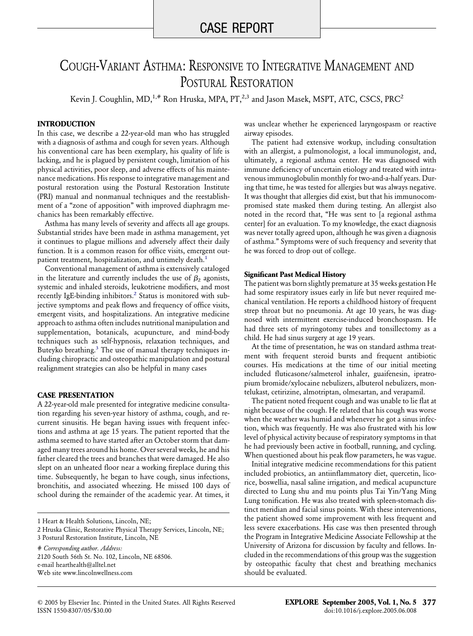# COUGH-VARIANT ASTHMA: RESPONSIVE TO INTEGRATIVE MANAGEMENT AND POSTURAL RESTORATION

Kevin J. Coughlin, MD,<sup>1,#</sup> Ron Hruska, MPA, PT,<sup>2,3</sup> and Jason Masek, MSPT, ATC, CSCS, PRC<sup>2</sup>

#### **INTRODUCTION**

In this case, we describe a 22-year-old man who has struggled with a diagnosis of asthma and cough for seven years. Although his conventional care has been exemplary, his quality of life is lacking, and he is plagued by persistent cough, limitation of his physical activities, poor sleep, and adverse effects of his maintenance medications. His response to integrative management and postural restoration using the Postural Restoration Institute (PRI) manual and nonmanual techniques and the reestablishment of a "zone of apposition" with improved diaphragm mechanics has been remarkably effective.

Asthma has many levels of severity and affects all age groups. Substantial strides have been made in asthma management, yet it continues to plague millions and adversely affect their daily function. It is a common reason for office visits, emergent outpatient treatment, hospitalization, and untimely death.<sup>1</sup>

Conventional management of asthma is extensively cataloged in the literature and currently includes the use of  $\beta_2$  agonists, systemic and inhaled steroids, leukotriene modifiers, and most recently IgE-binding inhibitors.<sup>2</sup> Status is monitored with subjective symptoms and peak flows and frequency of office visits, emergent visits, and hospitalizations. An integrative medicine approach to asthma often includes nutritional manipulation and supplementation, botanicals, acupuncture, and mind-body techniques such as self-hypnosis, relaxation techniques, and Buteyko breathing.<sup>3</sup> The use of manual therapy techniques including chiropractic and osteopathic manipulation and postural realignment strategies can also be helpful in many cases

# **CASE PRESENTATION**

A 22-year-old male presented for integrative medicine consultation regarding his seven-year history of asthma, cough, and recurrent sinusitis. He began having issues with frequent infections and asthma at age 15 years. The patient reported that the asthma seemed to have started after an October storm that damaged many trees around his home. Over several weeks, he and his father cleared the trees and branches that were damaged. He also slept on an unheated floor near a working fireplace during this time. Subsequently, he began to have cough, sinus infections, bronchitis, and associated wheezing. He missed 100 days of school during the remainder of the academic year. At times, it

# *Corresponding author. Address:* 2120 South 56th St. No. 102, Lincoln, NE 68506. e-mail hearthealth@alltel.net Web site www.lincolnwellness.com

was unclear whether he experienced laryngospasm or reactive airway episodes.

The patient had extensive workup, including consultation with an allergist, a pulmonologist, a local immunologist, and, ultimately, a regional asthma center. He was diagnosed with immune deficiency of uncertain etiology and treated with intravenous immunoglobulin monthly for two-and-a-half years. During that time, he was tested for allergies but was always negative. It was thought that allergies did exist, but that his immunocompromised state masked them during testing. An allergist also noted in the record that, "He was sent to [a regional asthma center] for an evaluation. To my knowledge, the exact diagnosis was never totally agreed upon, although he was given a diagnosis of asthma." Symptoms were of such frequency and severity that he was forced to drop out of college.

#### **Significant Past Medical History**

The patient was born slightly premature at 35 weeks gestation He had some respiratory issues early in life but never required mechanical ventilation. He reports a childhood history of frequent strep throat but no pneumonia. At age 10 years, he was diagnosed with intermittent exercise-induced bronchospasm. He had three sets of myringotomy tubes and tonsillectomy as a child. He had sinus surgery at age 19 years.

At the time of presentation, he was on standard asthma treatment with frequent steroid bursts and frequent antibiotic courses. His medications at the time of our initial meeting included fluticasone/salmeterol inhaler, guaifenesin, ipratropium bromide/xylocaine nebulizers, albuterol nebulizers, montelukast, cetirizine, almotriptan, olmesartan, and verapamil.

The patient noted frequent cough and was unable to lie flat at night because of the cough. He related that his cough was worse when the weather was humid and whenever he got a sinus infection, which was frequently. He was also frustrated with his low level of physical activity because of respiratory symptoms in that he had previously been active in football, running, and cycling. When questioned about his peak flow parameters, he was vague.

Initial integrative medicine recommendations for this patient included probiotics, an antiinflammatory diet, quercetin, licorice, boswellia, nasal saline irrigation, and medical acupuncture directed to Lung shu and mu points plus Tai Yin/Yang Ming Lung tonification. He was also treated with spleen-stomach distinct meridian and facial sinus points. With these interventions, the patient showed some improvement with less frequent and less severe exacerbations. His case was then presented through the Program in Integrative Medicine Associate Fellowship at the University of Arizona for discussion by faculty and fellows. Included in the recommendations of this group was the suggestion by osteopathic faculty that chest and breathing mechanics should be evaluated.

<sup>1</sup> Heart & Health Solutions, Lincoln, NE;

<sup>2</sup> Hruska Clinic, Restorative Physical Therapy Services, Lincoln, NE;

<sup>3</sup> Postural Restoration Institute, Lincoln, NE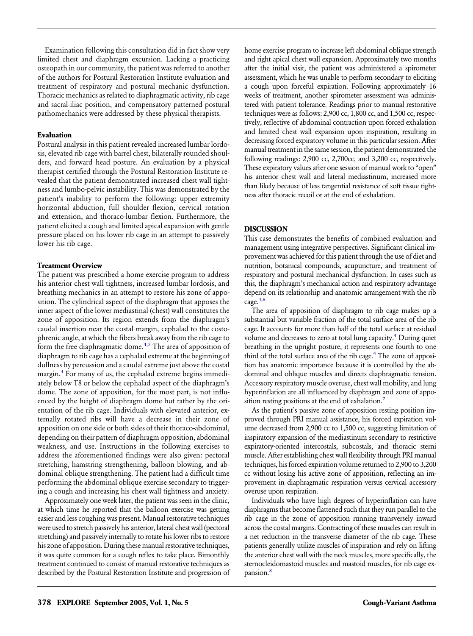Examination following this consultation did in fact show very limited chest and diaphragm excursion. Lacking a practicing osteopath in our community, the patient was referred to another of the authors for Postural Restoration Institute evaluation and treatment of respiratory and postural mechanic dysfunction. Thoracic mechanics as related to diaphragmatic activity, rib cage and sacral-iliac position, and compensatory patterned postural pathomechanics were addressed by these physical therapists.

#### **Evaluation**

Postural analysis in this patient revealed increased lumbar lordosis, elevated rib cage with barrel chest, bilaterally rounded shoulders, and forward head posture. An evaluation by a physical therapist certified through the Postural Restoration Institute revealed that the patient demonstrated increased chest wall tightness and lumbo-pelvic instability. This was demonstrated by the patient's inability to perform the following: upper extremity horizontal abduction, full shoulder flexion, cervical rotation and extension, and thoraco-lumbar flexion. Furthermore, the patient elicited a cough and limited apical expansion with gentle pressure placed on his lower rib cage in an attempt to passively lower his rib cage.

### **Treatment Overview**

The patient was prescribed a home exercise program to address his anterior chest wall tightness, increased lumbar lordosis, and breathing mechanics in an attempt to restore his zone of apposition. The cylindrical aspect of the diaphragm that apposes the inner aspect of the lower mediastinal (chest) wall constitutes the zone of apposition. Its region extends from the diaphragm's caudal insertion near the costal margin, cephalad to the costophrenic angle, at which the fibers break away from the rib cage to form the free diaphragmatic dome.<sup>4,5</sup> The area of apposition of diaphragm to rib cage has a cephalad extreme at the beginning of dullness by percussion and a caudal extreme just above the costal margin[.4](#page-2-0) For many of us, the cephalad extreme begins immediately below T8 or below the cephalad aspect of the diaphragm's dome. The zone of apposition, for the most part, is not influenced by the height of diaphragm dome but rather by the orientation of the rib cage. Individuals with elevated anterior, externally rotated ribs will have a decrease in their zone of apposition on one side or both sides of their thoraco-abdominal, depending on their pattern of diaphragm opposition, abdominal weakness, and use. Instructions in the following exercises to address the aforementioned findings were also given: pectoral stretching, hamstring strengthening, balloon blowing, and abdominal oblique strengthening. The patient had a difficult time performing the abdominal oblique exercise secondary to triggering a cough and increasing his chest wall tightness and anxiety.

Approximately one week later, the patient was seen in the clinic, at which time he reported that the balloon exercise was getting easier and less coughing was present. Manual restorative techniques were used to stretch passively his anterior, lateral chest wall (pectoral stretching) and passively internally to rotate his lower ribs to restore his zone of apposition. During these manual restorative techniques, it was quite common for a cough reflex to take place. Bimonthly treatment continued to consist of manual restorative techniques as described by the Postural Restoration Institute and progression of home exercise program to increase left abdominal oblique strength and right apical chest wall expansion. Approximately two months after the initial visit, the patient was administered a spirometer assessment, which he was unable to perform secondary to eliciting a cough upon forceful expiration. Following approximately 16 weeks of treatment, another spirometer assessment was administered with patient tolerance. Readings prior to manual restorative techniques were as follows: 2,900 cc, 1,800 cc, and 1,500 cc, respectively, reflective of abdominal contraction upon forced exhalation and limited chest wall expansion upon inspiration, resulting in decreasing forced expiratory volume in this particular session. After manual treatment in the same session, the patient demonstrated the following readings: 2,900 cc, 2,700cc, and 3,200 cc, respectively. These expiratory values after one session of manual work to "open" his anterior chest wall and lateral mediastinum, increased more than likely because of less tangential resistance of soft tissue tightness after thoracic recoil or at the end of exhalation.

# **DISCUSSION**

This case demonstrates the benefits of combined evaluation and management using integrative perspectives. Significant clinical improvement was achieved for this patient through the use of diet and nutrition, botanical compounds, acupuncture, and treatment of respiratory and postural mechanical dysfunction. In cases such as this, the diaphragm's mechanical action and respiratory advantage depend on its relationship and anatomic arrangement with the rib cage[.4,6](#page-2-0)

The area of apposition of diaphragm to rib cage makes up a substantial but variable fraction of the total surface area of the rib cage. It accounts for more than half of the total surface at residual volume and decreases to zero at total lung capacity.<sup>4</sup> During quiet breathing in the upright posture, it represents one fourth to one third of the total surface area of the rib cage.<sup>4</sup> The zone of apposition has anatomic importance because it is controlled by the abdominal and oblique muscles and directs diaphragmatic tension. Accessory respiratory muscle overuse, chest wall mobility, and lung hyperinflation are all influenced by diaphragm and zone of apposition resting positions at the end of exhalation.<sup>7</sup>

As the patient's passive zone of apposition resting position improved through PRI manual assistance, his forced expiration volume decreased from 2,900 cc to 1,500 cc, suggesting limitation of inspiratory expansion of the mediastinum secondary to restrictive expiratory-oriented intercostals, subcostals, and thoracic sterni muscle. After establishing chest wall flexibility through PRI manual techniques, his forced expiration volume returned to 2,900 to 3,200 cc without losing his active zone of apposition, reflecting an improvement in diaphragmatic respiration versus cervical accessory overuse upon respiration.

Individuals who have high degrees of hyperinflation can have diaphragms that become flattened such that they run parallel to the rib cage in the zone of apposition running transversely inward across the costal margins. Contracting of these muscles can result in a net reduction in the transverse diameter of the rib cage. These patients generally utilize muscles of inspiration and rely on lifting the anterior chest wall with the neck muscles, more specifically, the sternocleidomastoid muscles and mastoid muscles, for rib cage expansion[.8](#page-2-0)